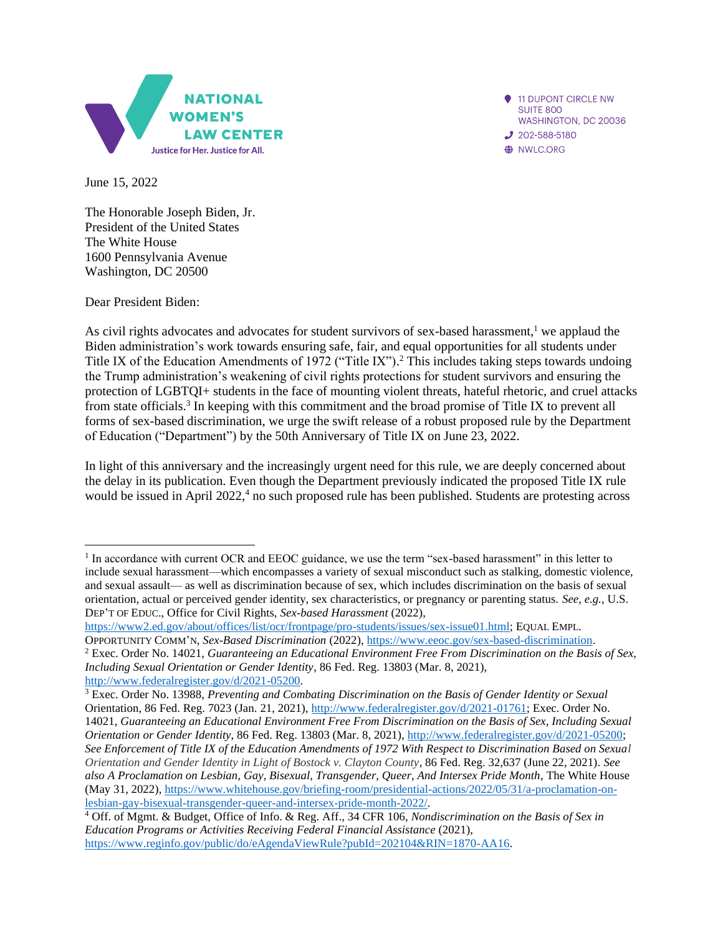

11 DUPONT CIRCLE NW **SUITE 800** WASHINGTON, DC 20036  $J$  202-588-5180 WLC.ORG

June 15, 2022

The Honorable Joseph Biden, Jr. President of the United States The White House 1600 Pennsylvania Avenue Washington, DC 20500

Dear President Biden:

As civil rights advocates and advocates for student survivors of sex-based harassment, $<sup>1</sup>$  we applaud the</sup> Biden administration's work towards ensuring safe, fair, and equal opportunities for all students under Title IX of the Education Amendments of 1972 ("Title IX"). <sup>2</sup> This includes taking steps towards undoing the Trump administration's weakening of civil rights protections for student survivors and ensuring the protection of LGBTQI+ students in the face of mounting violent threats, hateful rhetoric, and cruel attacks from state officials.<sup>3</sup> In keeping with this commitment and the broad promise of Title IX to prevent all forms of sex-based discrimination, we urge the swift release of a robust proposed rule by the Department of Education ("Department") by the 50th Anniversary of Title IX on June 23, 2022.

In light of this anniversary and the increasingly urgent need for this rule, we are deeply concerned about the delay in its publication. Even though the Department previously indicated the proposed Title IX rule would be issued in April 2022,<sup>4</sup> no such proposed rule has been published. Students are protesting across

[https://www2.ed.gov/about/offices/list/ocr/frontpage/pro-students/issues/sex-issue01.html;](https://www2.ed.gov/about/offices/list/ocr/frontpage/pro-students/issues/sex-issue01.html) EQUAL EMPL.

<sup>&</sup>lt;sup>1</sup> In accordance with current OCR and EEOC guidance, we use the term "sex-based harassment" in this letter to include sexual harassment—which encompasses a variety of sexual misconduct such as stalking, domestic violence, and sexual assault— as well as discrimination because of sex, which includes discrimination on the basis of sexual orientation, actual or perceived gender identity, sex characteristics, or pregnancy or parenting status. *See, e.g.*, U.S. DEP'T OF EDUC., Office for Civil Rights, *Sex-based Harassment* (2022),

OPPORTUNITY COMM'N, *Sex-Based Discrimination* (2022), [https://www.eeoc.gov/sex-based-discrimination.](https://www.eeoc.gov/sex-based-discrimination) <sup>2</sup> Exec. Order No. 14021, *Guaranteeing an Educational Environment Free From Discrimination on the Basis of Sex, Including Sexual Orientation or Gender Identity*, 86 Fed. Reg. 13803 (Mar. 8, 2021), <http://www.federalregister.gov/d/2021-05200>[.](http://www.federalregister.gov/d/2021-05200%20.)

<sup>3</sup> Exec. Order No. 13988, *Preventing and Combating Discrimination on the Basis of Gender Identity or Sexual*  Orientation, 86 Fed. Reg. 7023 (Jan. 21, 2021)[, http://www.federalregister.gov/d/2021-01761;](http://www.federalregister.gov/d/2021-01761) Exec. Order No. 14021, *Guaranteeing an Educational Environment Free From Discrimination on the Basis of Sex, Including Sexual Orientation or Gender Identity*, 86 Fed. Reg. 13803 (Mar. 8, 2021), [http://www.federalregister.gov/d/2021-05200;](http://www.federalregister.gov/d/2021-05200) *See Enforcement of Title IX of the Education Amendments of 1972 With Respect to Discrimination Based on Sexual Orientation and Gender Identity in Light of Bostock v. Clayton County*, 86 Fed. Reg. 32,637 (June 22, 2021). *See also A Proclamation on Lesbian, Gay, Bisexual, Transgender, Queer, And Intersex Pride Month*, The White House (May 31, 2022), [https://www.whitehouse.gov/briefing-room/presidential-actions/2022/05/31/a-proclamation-on](https://www.whitehouse.gov/briefing-room/presidential-actions/2022/05/31/a-proclamation-on-lesbian-gay-bisexual-transgender-queer-and-intersex-pride-month-2022/)[lesbian-gay-bisexual-transgender-queer-and-intersex-pride-month-2022/.](https://www.whitehouse.gov/briefing-room/presidential-actions/2022/05/31/a-proclamation-on-lesbian-gay-bisexual-transgender-queer-and-intersex-pride-month-2022/)

<sup>4</sup> Off. of Mgmt. & Budget, Office of Info. & Reg. Aff., 34 CFR 106, *Nondiscrimination on the Basis of Sex in Education Programs or Activities Receiving Federal Financial Assistance* (2021), [https://www.reginfo.gov/public/do/eAgendaViewRule?pubId=202104&RIN=1870-AA16.](https://www.reginfo.gov/public/do/eAgendaViewRule?pubId=202104&RIN=1870-AA16)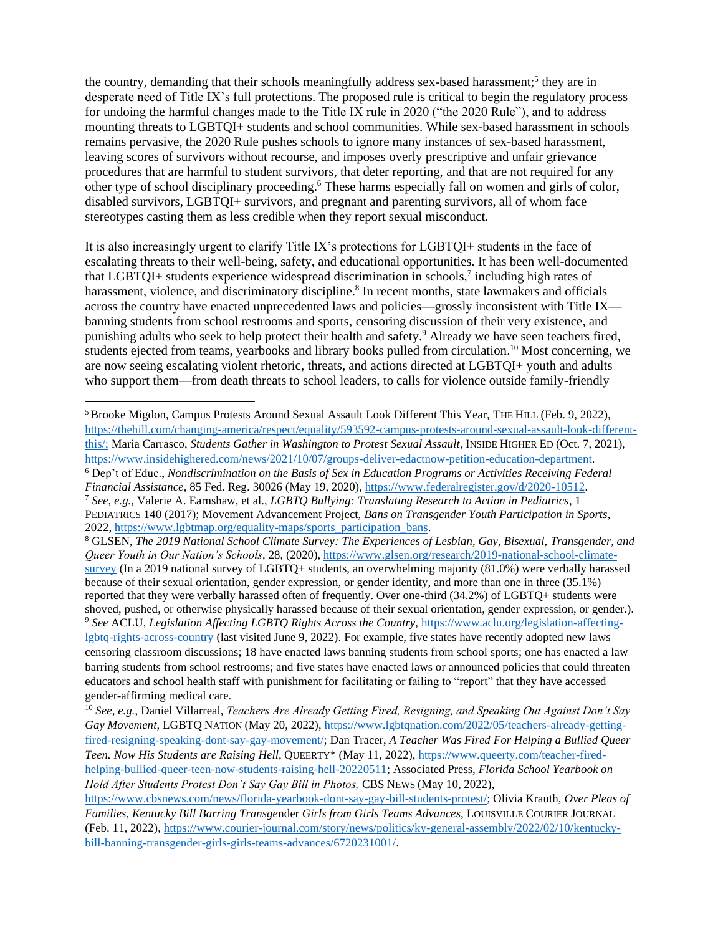the country, demanding that their schools meaningfully address sex-based harassment;<sup>5</sup> they are in desperate need of Title IX's full protections. The proposed rule is critical to begin the regulatory process for undoing the harmful changes made to the Title IX rule in 2020 ("the 2020 Rule"), and to address mounting threats to LGBTQI+ students and school communities. While sex-based harassment in schools remains pervasive, the 2020 Rule pushes schools to ignore many instances of sex-based harassment, leaving scores of survivors without recourse, and imposes overly prescriptive and unfair grievance procedures that are harmful to student survivors, that deter reporting, and that are not required for any other type of school disciplinary proceeding. <sup>6</sup> These harms especially fall on women and girls of color, disabled survivors, LGBTQI+ survivors, and pregnant and parenting survivors, all of whom face stereotypes casting them as less credible when they report sexual misconduct.

It is also increasingly urgent to clarify Title IX's protections for LGBTQI+ students in the face of escalating threats to their well-being, safety, and educational opportunities. It has been well-documented that LGBTQI+ students experience widespread discrimination in schools,<sup>7</sup> including high rates of harassment, violence, and discriminatory discipline.<sup>8</sup> In recent months, state lawmakers and officials across the country have enacted unprecedented laws and policies—grossly inconsistent with Title IX banning students from school restrooms and sports, censoring discussion of their very existence, and punishing adults who seek to help protect their health and safety.<sup>9</sup> Already we have seen teachers fired, students ejected from teams, yearbooks and library books pulled from circulation.<sup>10</sup> Most concerning, we are now seeing escalating violent rhetoric, threats, and actions directed at LGBTQI+ youth and adults who support them—from death threats to school leaders, to calls for violence outside family-friendly

<sup>8</sup> GLSEN, *The 2019 National School Climate Survey: The Experiences of Lesbian, Gay, Bisexual, Transgender, and Queer Youth in Our Nation's Schools*, 28, (2020), [https://www.glsen.org/research/2019-national-school-climate](https://www.glsen.org/research/2019-national-school-climate-survey)[survey](https://www.glsen.org/research/2019-national-school-climate-survey) (In a 2019 national survey of LGBTQ+ students, an overwhelming majority (81.0%) were verbally harassed because of their sexual orientation, gender expression, or gender identity, and more than one in three (35.1%) reported that they were verbally harassed often of frequently. Over one-third (34.2%) of LGBTQ+ students were shoved, pushed, or otherwise physically harassed because of their sexual orientation, gender expression, or gender.). <sup>9</sup> *See* ACLU, *Legislation Affecting LGBTQ Rights Across the Country*, [https://www.aclu.org/legislation-affecting](https://www.aclu.org/legislation-affecting-lgbtq-rights-across-country)[lgbtq-rights-across-country](https://www.aclu.org/legislation-affecting-lgbtq-rights-across-country) (last visited June 9, 2022). For example, five states have recently adopted new laws censoring classroom discussions; 18 have enacted laws banning students from school sports; one has enacted a law barring students from school restrooms; and five states have enacted laws or announced policies that could threaten educators and school health staff with punishment for facilitating or failing to "report" that they have accessed gender-affirming medical care.

<sup>5</sup> Brooke Migdon, Campus Protests Around Sexual Assault Look Different This Year, THE HILL (Feb. 9, 2022), [https://thehill.com/changing-america/respect/equality/593592-campus-protests-around-sexual-assault-look-different](https://thehill.com/changing-america/respect/equality/593592-campus-protests-around-sexual-assault-look-different-this/;)[this/;](https://thehill.com/changing-america/respect/equality/593592-campus-protests-around-sexual-assault-look-different-this/;) Maria Carrasco, *Students Gather in Washington to Protest Sexual Assault*, INSIDE HIGHER ED (Oct. 7, 2021), [https://www.insidehighered.com/news/2021/10/07/groups-deliver-edactnow-petition-education-department.](https://www.insidehighered.com/news/2021/10/07/groups-deliver-edactnow-petition-education-department) <sup>6</sup> Dep't of Educ., *Nondiscrimination on the Basis of Sex in Education Programs or Activities Receiving Federal Financial Assistance*, 85 Fed. Reg. 30026 (May 19, 2020), [https://www.federalregister.gov/d/2020-10512.](https://www.federalregister.gov/d/2020-10512) <sup>7</sup> *See, e.g.*, Valerie A. Earnshaw, et al., *LGBTQ Bullying: Translating Research to Action in Pediatrics*, 1 PEDIATRICS 140 (2017); Movement Advancement Project, *Bans on Transgender Youth Participation in Sports*, 2022, [https://www.lgbtmap.org/equality-maps/sports\\_participation\\_bans.](https://www.lgbtmap.org/equality-maps/sports_participation_bans)

<sup>10</sup> *See, e.g.*, Daniel Villarreal, *Teachers Are Already Getting Fired, Resigning, and Speaking Out Against Don't Say Gay Movement*, LGBTQ NATION (May 20, 2022)[, https://www.lgbtqnation.com/2022/05/teachers-already-getting](https://www.lgbtqnation.com/2022/05/teachers-already-getting-fired-resigning-speaking-dont-say-gay-movement/)[fired-resigning-speaking-dont-say-gay-movement/;](https://www.lgbtqnation.com/2022/05/teachers-already-getting-fired-resigning-speaking-dont-say-gay-movement/) Dan Tracer, *A Teacher Was Fired For Helping a Bullied Queer Teen. Now His Students are Raising Hell,* QUEERTY\* (May 11, 2022)[, https://www.queerty.com/teacher-fired](https://www.queerty.com/teacher-fired-helping-bullied-queer-teen-now-students-raising-hell-20220511)[helping-bullied-queer-teen-now-students-raising-hell-20220511;](https://www.queerty.com/teacher-fired-helping-bullied-queer-teen-now-students-raising-hell-20220511) Associated Press, *Florida School Yearbook on Hold After Students Protest Don't Say Gay Bill in Photos,* CBS NEWS (May 10, 2022),

[https://www.cbsnews.com/news/florida-yearbook-dont-say-gay-bill-students-protest/;](https://www.cbsnews.com/news/florida-yearbook-dont-say-gay-bill-students-protest/) Olivia Krauth, *Over Pleas of Families, Kentucky Bill Barring Transge*nder *Girls from Girls Teams Advances,* LOUISVILLE COURIER JOURNAL (Feb. 11, 2022)[, https://www.courier-journal.com/story/news/politics/ky-general-assembly/2022/02/10/kentucky](https://www.courier-journal.com/story/news/politics/ky-general-assembly/2022/02/10/kentucky-bill-banning-transgender-girls-girls-teams-advances/6720231001/)[bill-banning-transgender-girls-girls-teams-advances/6720231001/.](https://www.courier-journal.com/story/news/politics/ky-general-assembly/2022/02/10/kentucky-bill-banning-transgender-girls-girls-teams-advances/6720231001/)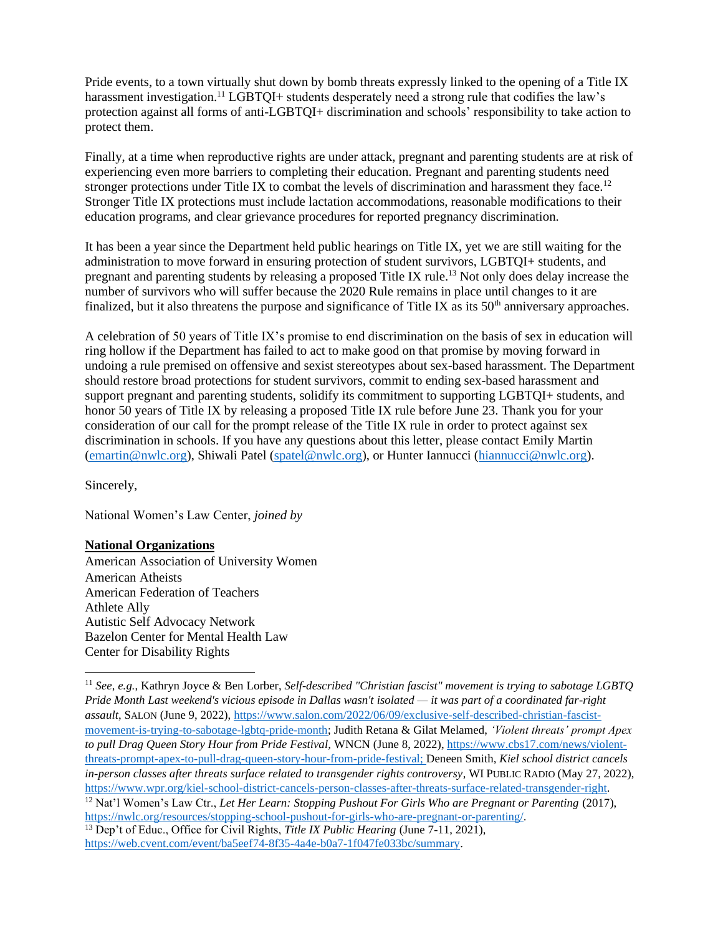Pride events, to a town virtually shut down by bomb threats expressly linked to the opening of a Title IX harassment investigation.<sup>11</sup> LGBTOI+ students desperately need a strong rule that codifies the law's protection against all forms of anti-LGBTQI+ discrimination and schools' responsibility to take action to protect them.

Finally, at a time when reproductive rights are under attack, pregnant and parenting students are at risk of experiencing even more barriers to completing their education. Pregnant and parenting students need stronger protections under Title IX to combat the levels of discrimination and harassment they face.<sup>12</sup> Stronger Title IX protections must include lactation accommodations, reasonable modifications to their education programs, and clear grievance procedures for reported pregnancy discrimination.

It has been a year since the Department held public hearings on Title IX, yet we are still waiting for the administration to move forward in ensuring protection of student survivors, LGBTQI+ students, and pregnant and parenting students by releasing a proposed Title IX rule. <sup>13</sup> Not only does delay increase the number of survivors who will suffer because the 2020 Rule remains in place until changes to it are finalized, but it also threatens the purpose and significance of Title IX as its  $50<sup>th</sup>$  anniversary approaches.

A celebration of 50 years of Title IX's promise to end discrimination on the basis of sex in education will ring hollow if the Department has failed to act to make good on that promise by moving forward in undoing a rule premised on offensive and sexist stereotypes about sex-based harassment. The Department should restore broad protections for student survivors, commit to ending sex-based harassment and support pregnant and parenting students, solidify its commitment to supporting LGBTQI+ students, and honor 50 years of Title IX by releasing a proposed Title IX rule before June 23. Thank you for your consideration of our call for the prompt release of the Title IX rule in order to protect against sex discrimination in schools. If you have any questions about this letter, please contact Emily Martin [\(emartin@nwlc.org\)](mailto:emartin@nwlc.org), Shiwali Patel [\(spatel@nwlc.org\)](mailto:spatel@nwlc.org), or Hunter Iannucci [\(hiannucci@nwlc.org\)](mailto:hiannucci@nwlc.org).

Sincerely,

National Women's Law Center, *joined by*

## **National Organizations**

American Association of University Women American Atheists American Federation of Teachers Athlete Ally Autistic Self Advocacy Network Bazelon Center for Mental Health Law Center for Disability Rights

<sup>11</sup> *See*, *e.g.*, Kathryn Joyce & Ben Lorber, *Self-described "Christian fascist" movement is trying to sabotage LGBTQ Pride Month Last weekend's vicious episode in Dallas wasn't isolated — it was part of a coordinated far-right assault*, SALON (June 9, 2022), [https://www.salon.com/2022/06/09/exclusive-self-described-christian-fascist](https://www.salon.com/2022/06/09/exclusive-self-described-christian-fascist-movement-is-trying-to-sabotage-lgbtq-pride-month)[movement-is-trying-to-sabotage-lgbtq-pride-month;](https://www.salon.com/2022/06/09/exclusive-self-described-christian-fascist-movement-is-trying-to-sabotage-lgbtq-pride-month) Judith Retana & Gilat Melamed, *'Violent threats' prompt Apex to pull Drag Queen Story Hour from Pride Festival,* WNCN (June 8, 2022), [https://www.cbs17.com/news/violent](https://www.cbs17.com/news/violent-threats-prompt-apex-to-pull-drag-queen-story-hour-from-pride-festival)[threats-prompt-apex-to-pull-drag-queen-story-hour-from-pride-festival;](https://www.cbs17.com/news/violent-threats-prompt-apex-to-pull-drag-queen-story-hour-from-pride-festival) Deneen Smith, *Kiel school district cancels in-person classes after threats surface related to transgender rights controversy*, WI PUBLIC RADIO (May 27, 2022), [https://www.wpr.org/kiel-school-district-cancels-person-classes-after-threats-surface-related-transgender-right.](https://www.wpr.org/kiel-school-district-cancels-person-classes-after-threats-surface-related-transgender-right) <sup>12</sup> Nat'l Women's Law Ctr., *Let Her Learn: Stopping Pushout For Girls Who are Pregnant or Parenting* (2017), [https://nwlc.org/resources/stopping-school-pushout-for-girls-who-are-pregnant-or-parenting/.](https://nwlc.org/resources/stopping-school-pushout-for-girls-who-are-pregnant-or-parenting/)

<sup>13</sup> Dep't of Educ., Office for Civil Rights, *Title IX Public Hearing* (June 7-11, 2021), [https://web.cvent.com/event/ba5eef74-8f35-4a4e-b0a7-1f047fe033bc/summary.](https://web.cvent.com/event/ba5eef74-8f35-4a4e-b0a7-1f047fe033bc/summary)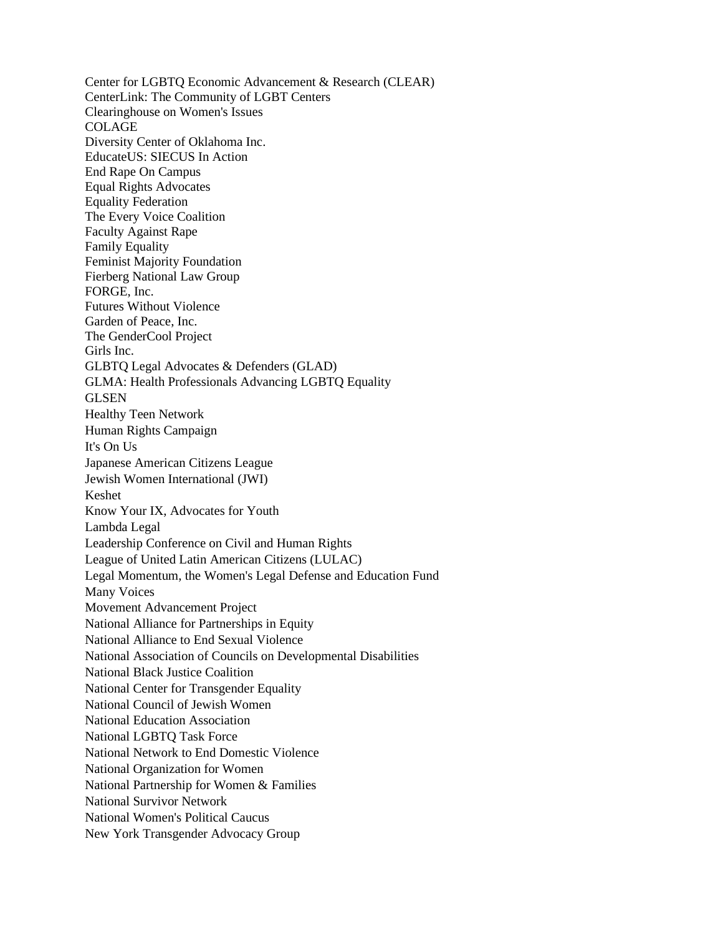Center for LGBTQ Economic Advancement & Research (CLEAR) CenterLink: The Community of LGBT Centers Clearinghouse on Women's Issues COLAGE Diversity Center of Oklahoma Inc. EducateUS: SIECUS In Action End Rape On Campus Equal Rights Advocates Equality Federation The Every Voice Coalition Faculty Against Rape Family Equality Feminist Majority Foundation Fierberg National Law Group FORGE, Inc. Futures Without Violence Garden of Peace, Inc. The GenderCool Project Girls Inc. GLBTQ Legal Advocates & Defenders (GLAD) GLMA: Health Professionals Advancing LGBTQ Equality GLSEN Healthy Teen Network Human Rights Campaign It's On Us Japanese American Citizens League Jewish Women International (JWI) Keshet Know Your IX, Advocates for Youth Lambda Legal Leadership Conference on Civil and Human Rights League of United Latin American Citizens (LULAC) Legal Momentum, the Women's Legal Defense and Education Fund Many Voices Movement Advancement Project National Alliance for Partnerships in Equity National Alliance to End Sexual Violence National Association of Councils on Developmental Disabilities National Black Justice Coalition National Center for Transgender Equality National Council of Jewish Women National Education Association National LGBTQ Task Force National Network to End Domestic Violence National Organization for Women National Partnership for Women & Families National Survivor Network National Women's Political Caucus New York Transgender Advocacy Group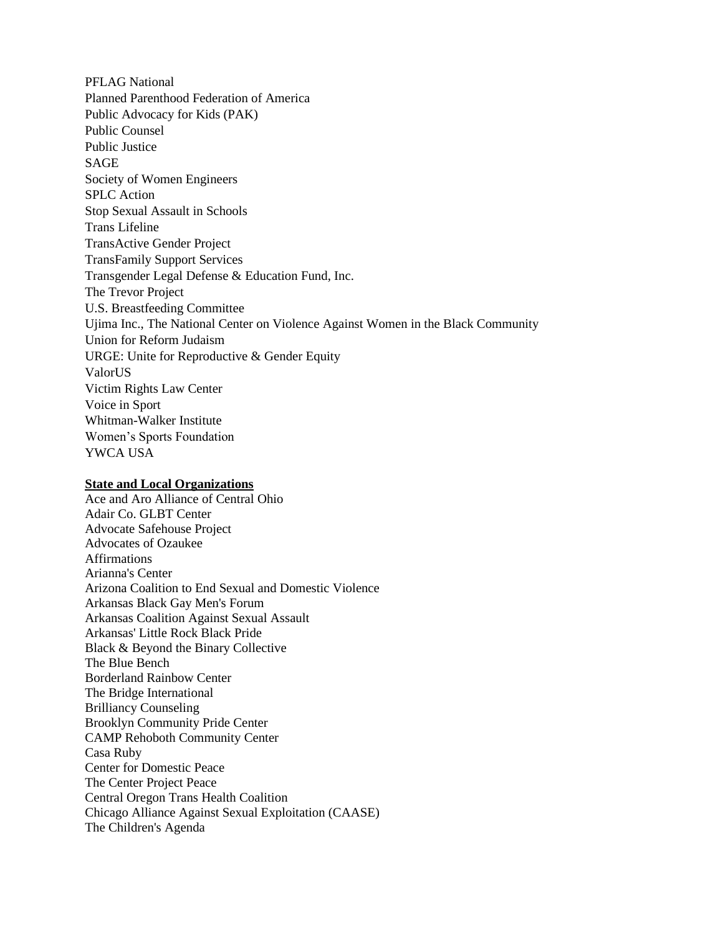PFLAG National Planned Parenthood Federation of America Public Advocacy for Kids (PAK) Public Counsel Public Justice SAGE Society of Women Engineers SPLC Action Stop Sexual Assault in Schools Trans Lifeline TransActive Gender Project TransFamily Support Services Transgender Legal Defense & Education Fund, Inc. The Trevor Project U.S. Breastfeeding Committee Ujima Inc., The National Center on Violence Against Women in the Black Community Union for Reform Judaism URGE: Unite for Reproductive & Gender Equity ValorUS Victim Rights Law Center Voice in Sport Whitman-Walker Institute Women's Sports Foundation YWCA USA

## **State and Local Organizations**

Ace and Aro Alliance of Central Ohio Adair Co. GLBT Center Advocate Safehouse Project Advocates of Ozaukee Affirmations Arianna's Center Arizona Coalition to End Sexual and Domestic Violence Arkansas Black Gay Men's Forum Arkansas Coalition Against Sexual Assault Arkansas' Little Rock Black Pride Black & Beyond the Binary Collective The Blue Bench Borderland Rainbow Center The Bridge International Brilliancy Counseling Brooklyn Community Pride Center CAMP Rehoboth Community Center Casa Ruby Center for Domestic Peace The Center Project Peace Central Oregon Trans Health Coalition Chicago Alliance Against Sexual Exploitation (CAASE) The Children's Agenda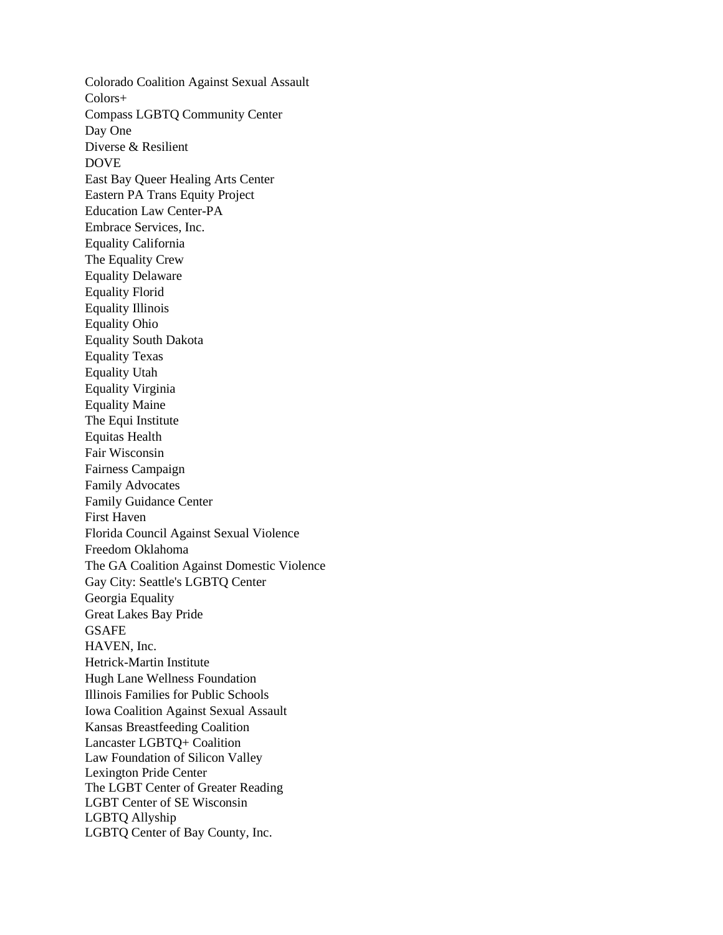Colorado Coalition Against Sexual Assault Colors+ Compass LGBTQ Community Center Day One Diverse & Resilient DOVE East Bay Queer Healing Arts Center Eastern PA Trans Equity Project Education Law Center-PA Embrace Services, Inc. Equality California The Equality Crew Equality Delaware Equality Florid Equality Illinois Equality Ohio Equality South Dakota Equality Texas Equality Utah Equality Virginia Equality Maine The Equi Institute Equitas Health Fair Wisconsin Fairness Campaign Family Advocates Family Guidance Center First Haven Florida Council Against Sexual Violence Freedom Oklahoma The GA Coalition Against Domestic Violence Gay City: Seattle's LGBTQ Center Georgia Equality Great Lakes Bay Pride **GSAFE** HAVEN, Inc. Hetrick-Martin Institute Hugh Lane Wellness Foundation Illinois Families for Public Schools Iowa Coalition Against Sexual Assault Kansas Breastfeeding Coalition Lancaster LGBTQ+ Coalition Law Foundation of Silicon Valley Lexington Pride Center The LGBT Center of Greater Reading LGBT Center of SE Wisconsin LGBTQ Allyship LGBTQ Center of Bay County, Inc.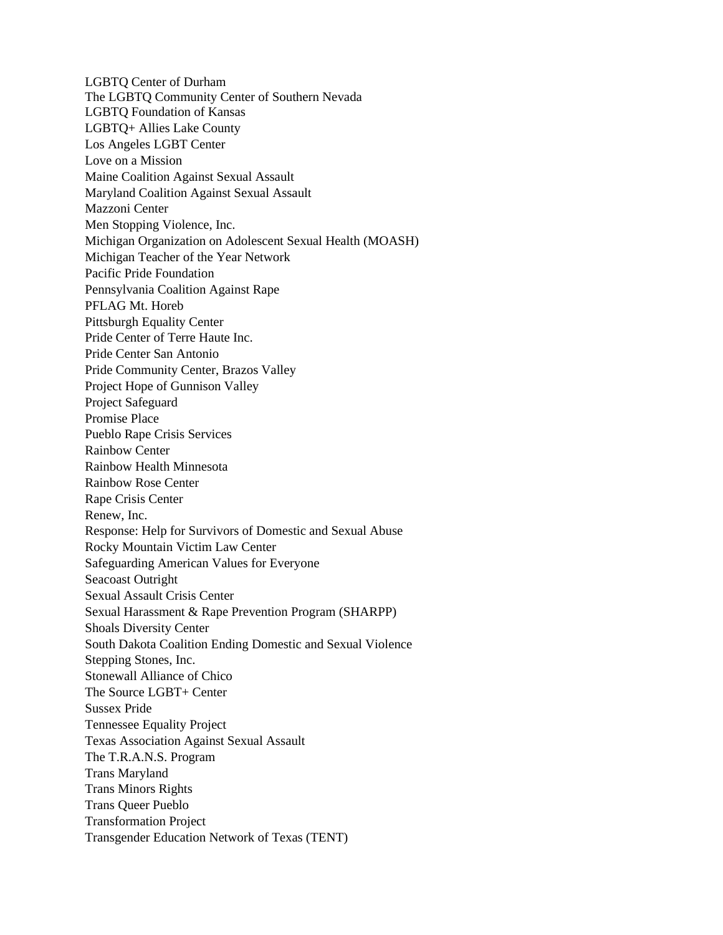LGBTQ Center of Durham The LGBTQ Community Center of Southern Nevada LGBTQ Foundation of Kansas LGBTQ+ Allies Lake County Los Angeles LGBT Center Love on a Mission Maine Coalition Against Sexual Assault Maryland Coalition Against Sexual Assault Mazzoni Center Men Stopping Violence, Inc. Michigan Organization on Adolescent Sexual Health (MOASH) Michigan Teacher of the Year Network Pacific Pride Foundation Pennsylvania Coalition Against Rape PFLAG Mt. Horeb Pittsburgh Equality Center Pride Center of Terre Haute Inc. Pride Center San Antonio Pride Community Center, Brazos Valley Project Hope of Gunnison Valley Project Safeguard Promise Place Pueblo Rape Crisis Services Rainbow Center Rainbow Health Minnesota Rainbow Rose Center Rape Crisis Center Renew, Inc. Response: Help for Survivors of Domestic and Sexual Abuse Rocky Mountain Victim Law Center Safeguarding American Values for Everyone Seacoast Outright Sexual Assault Crisis Center Sexual Harassment & Rape Prevention Program (SHARPP) Shoals Diversity Center South Dakota Coalition Ending Domestic and Sexual Violence Stepping Stones, Inc. Stonewall Alliance of Chico The Source LGBT+ Center Sussex Pride Tennessee Equality Project Texas Association Against Sexual Assault The T.R.A.N.S. Program Trans Maryland Trans Minors Rights Trans Queer Pueblo Transformation Project Transgender Education Network of Texas (TENT)